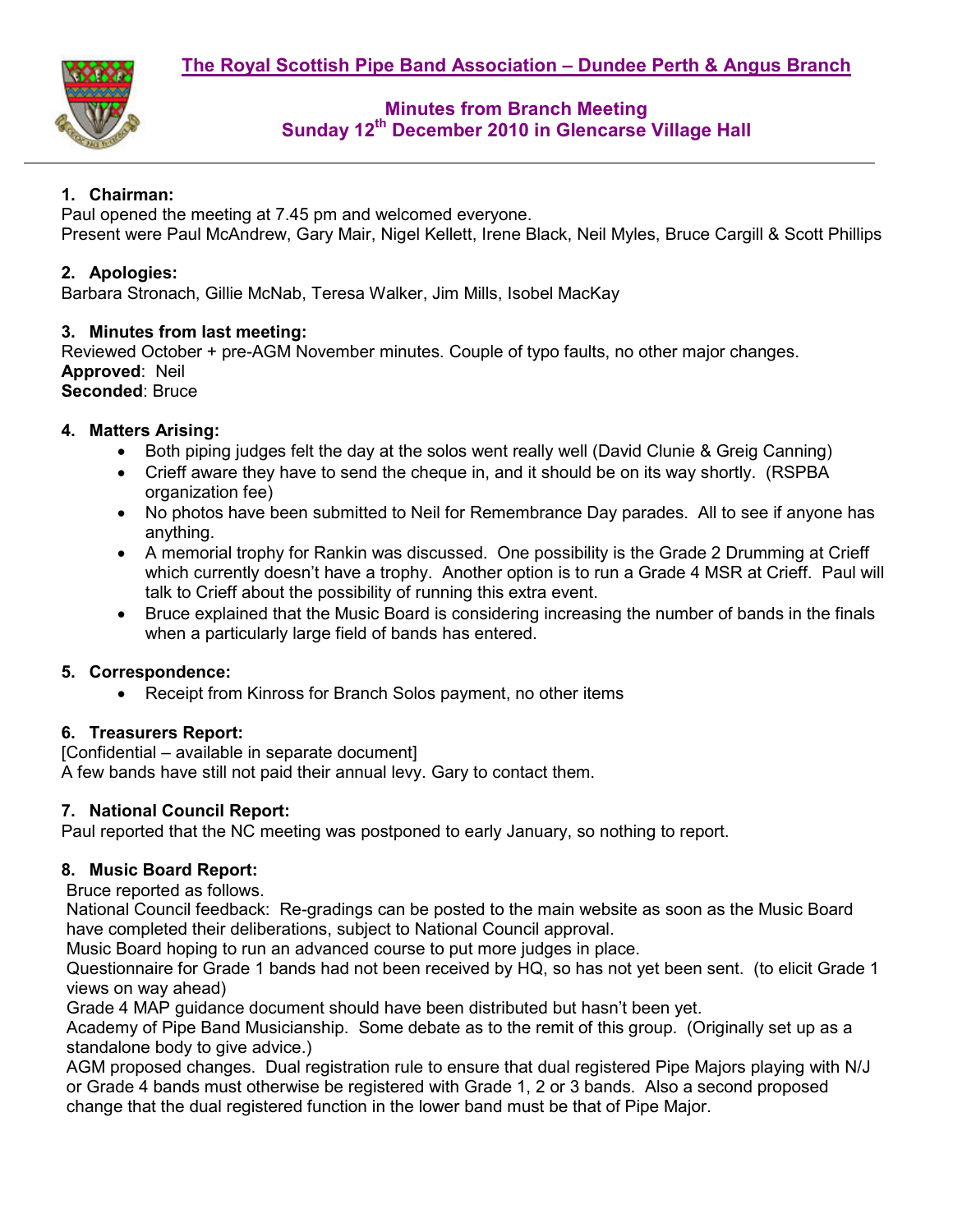

# **Minutes from Branch Meeting Sunday 12th December 2010 in Glencarse Village Hall**

## **1. Chairman:**

Paul opened the meeting at 7.45 pm and welcomed everyone. Present were Paul McAndrew, Gary Mair, Nigel Kellett, Irene Black, Neil Myles, Bruce Cargill & Scott Phillips

#### **2. Apologies:**

Barbara Stronach, Gillie McNab, Teresa Walker, Jim Mills, Isobel MacKay

#### **3. Minutes from last meeting:**

Reviewed October + pre-AGM November minutes. Couple of typo faults, no other major changes. **Approved**: Neil **Seconded**: Bruce

#### **4. Matters Arising:**

- Both piping judges felt the day at the solos went really well (David Clunie & Greig Canning)
- Crieff aware they have to send the cheque in, and it should be on its way shortly. (RSPBA organization fee)
- No photos have been submitted to Neil for Remembrance Day parades. All to see if anyone has anything.
- A memorial trophy for Rankin was discussed. One possibility is the Grade 2 Drumming at Crieff which currently doesn't have a trophy. Another option is to run a Grade 4 MSR at Crieff. Paul will talk to Crieff about the possibility of running this extra event.
- Bruce explained that the Music Board is considering increasing the number of bands in the finals when a particularly large field of bands has entered.

### **5. Correspondence:**

• Receipt from Kinross for Branch Solos payment, no other items

### **6. Treasurers Report:**

[Confidential – available in separate document] A few bands have still not paid their annual levy. Gary to contact them.

### **7. National Council Report:**

Paul reported that the NC meeting was postponed to early January, so nothing to report.

### **8. Music Board Report:**

Bruce reported as follows.

National Council feedback: Re-gradings can be posted to the main website as soon as the Music Board have completed their deliberations, subject to National Council approval.

Music Board hoping to run an advanced course to put more judges in place.

Questionnaire for Grade 1 bands had not been received by HQ, so has not yet been sent. (to elicit Grade 1 views on way ahead)

Grade 4 MAP guidance document should have been distributed but hasn't been yet.

Academy of Pipe Band Musicianship. Some debate as to the remit of this group. (Originally set up as a standalone body to give advice.)

AGM proposed changes. Dual registration rule to ensure that dual registered Pipe Majors playing with N/J or Grade 4 bands must otherwise be registered with Grade 1, 2 or 3 bands. Also a second proposed change that the dual registered function in the lower band must be that of Pipe Major.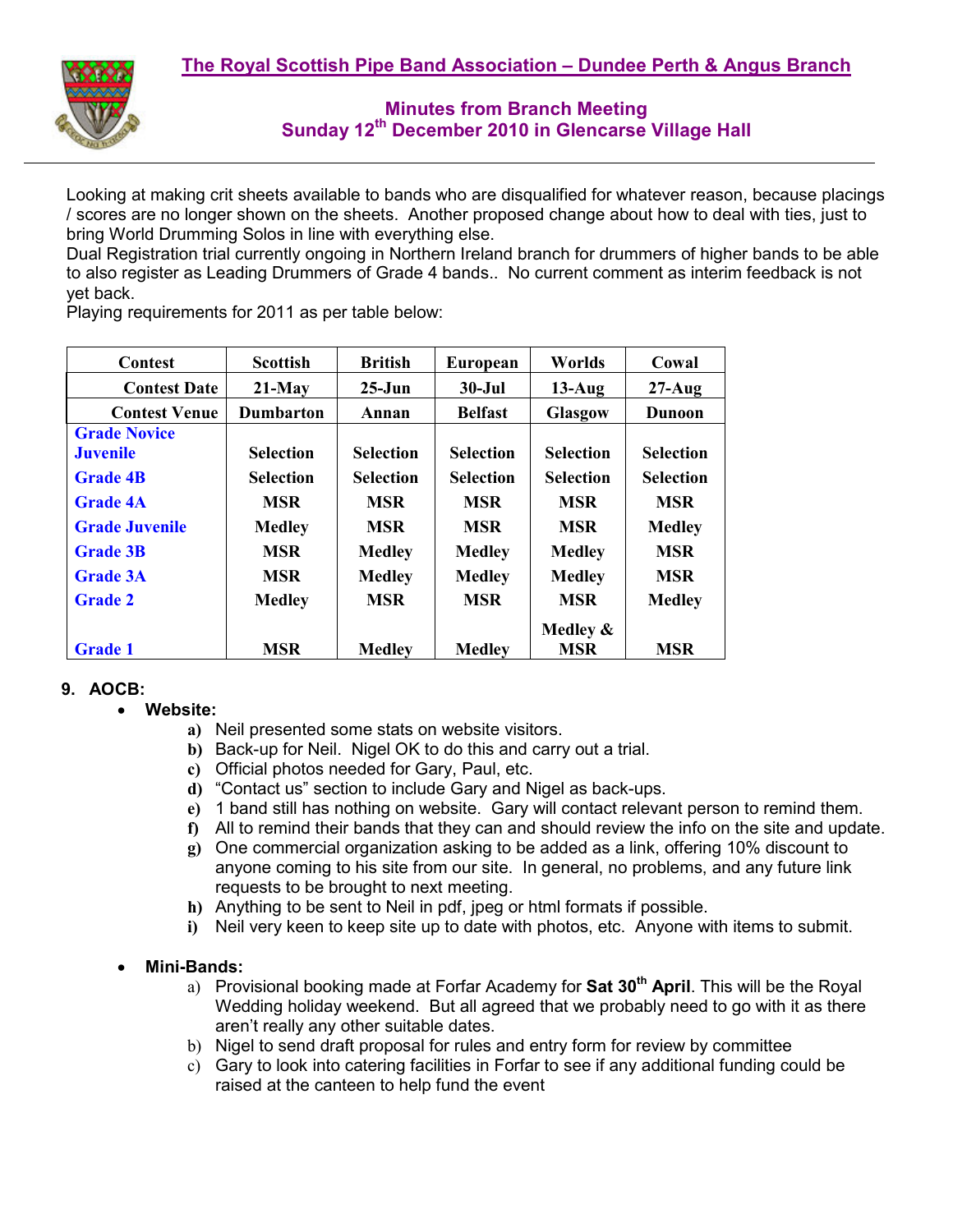

**Minutes from Branch Meeting Sunday 12th December 2010 in Glencarse Village Hall** 

Looking at making crit sheets available to bands who are disqualified for whatever reason, because placings / scores are no longer shown on the sheets. Another proposed change about how to deal with ties, just to bring World Drumming Solos in line with everything else.

Dual Registration trial currently ongoing in Northern Ireland branch for drummers of higher bands to be able to also register as Leading Drummers of Grade 4 bands.. No current comment as interim feedback is not yet back.

| <b>Contest</b>        | <b>Scottish</b>  | <b>British</b>   | European         | Worlds           | Cowal            |
|-----------------------|------------------|------------------|------------------|------------------|------------------|
| <b>Contest Date</b>   | $21-May$         | $25-J$ un        | $30 -$ Jul       | $13-Aug$         | $27 - Aug$       |
| <b>Contest Venue</b>  | <b>Dumbarton</b> | Annan            | <b>Belfast</b>   | <b>Glasgow</b>   | <b>Dunoon</b>    |
| <b>Grade Novice</b>   |                  |                  |                  |                  |                  |
| <b>Juvenile</b>       | <b>Selection</b> | <b>Selection</b> | <b>Selection</b> | <b>Selection</b> | <b>Selection</b> |
| <b>Grade 4B</b>       | <b>Selection</b> | <b>Selection</b> | <b>Selection</b> | <b>Selection</b> | <b>Selection</b> |
| <b>Grade 4A</b>       | <b>MSR</b>       | <b>MSR</b>       | <b>MSR</b>       | <b>MSR</b>       | <b>MSR</b>       |
| <b>Grade Juvenile</b> | <b>Medley</b>    | <b>MSR</b>       | <b>MSR</b>       | <b>MSR</b>       | <b>Medley</b>    |
| <b>Grade 3B</b>       | <b>MSR</b>       | <b>Medley</b>    | <b>Medley</b>    | <b>Medley</b>    | <b>MSR</b>       |
| <b>Grade 3A</b>       | <b>MSR</b>       | <b>Medley</b>    | <b>Medley</b>    | <b>Medley</b>    | <b>MSR</b>       |
| <b>Grade 2</b>        | <b>Medley</b>    | <b>MSR</b>       | <b>MSR</b>       | <b>MSR</b>       | <b>Medley</b>    |
|                       |                  |                  |                  | Medley $\&$      |                  |
| <b>Grade 1</b>        | <b>MSR</b>       | <b>Medley</b>    | <b>Medley</b>    | <b>MSR</b>       | <b>MSR</b>       |

Playing requirements for 2011 as per table below:

#### **9. AOCB:**

- **Website:** 
	- **a)** Neil presented some stats on website visitors.
	- **b)** Back-up for Neil. Nigel OK to do this and carry out a trial.
	- **c)** Official photos needed for Gary, Paul, etc.
	- **d)** "Contact us" section to include Gary and Nigel as back-ups.
	- **e)** 1 band still has nothing on website. Gary will contact relevant person to remind them.
	- **f)** All to remind their bands that they can and should review the info on the site and update.
	- **g)** One commercial organization asking to be added as a link, offering 10% discount to anyone coming to his site from our site. In general, no problems, and any future link requests to be brought to next meeting.
	- **h)** Anything to be sent to Neil in pdf, jpeg or html formats if possible.
	- **i)** Neil very keen to keep site up to date with photos, etc. Anyone with items to submit.
- **Mini-Bands:** 
	- a) Provisional booking made at Forfar Academy for **Sat 30th April**. This will be the Royal Wedding holiday weekend. But all agreed that we probably need to go with it as there aren't really any other suitable dates.
	- b) Nigel to send draft proposal for rules and entry form for review by committee
	- c) Gary to look into catering facilities in Forfar to see if any additional funding could be raised at the canteen to help fund the event